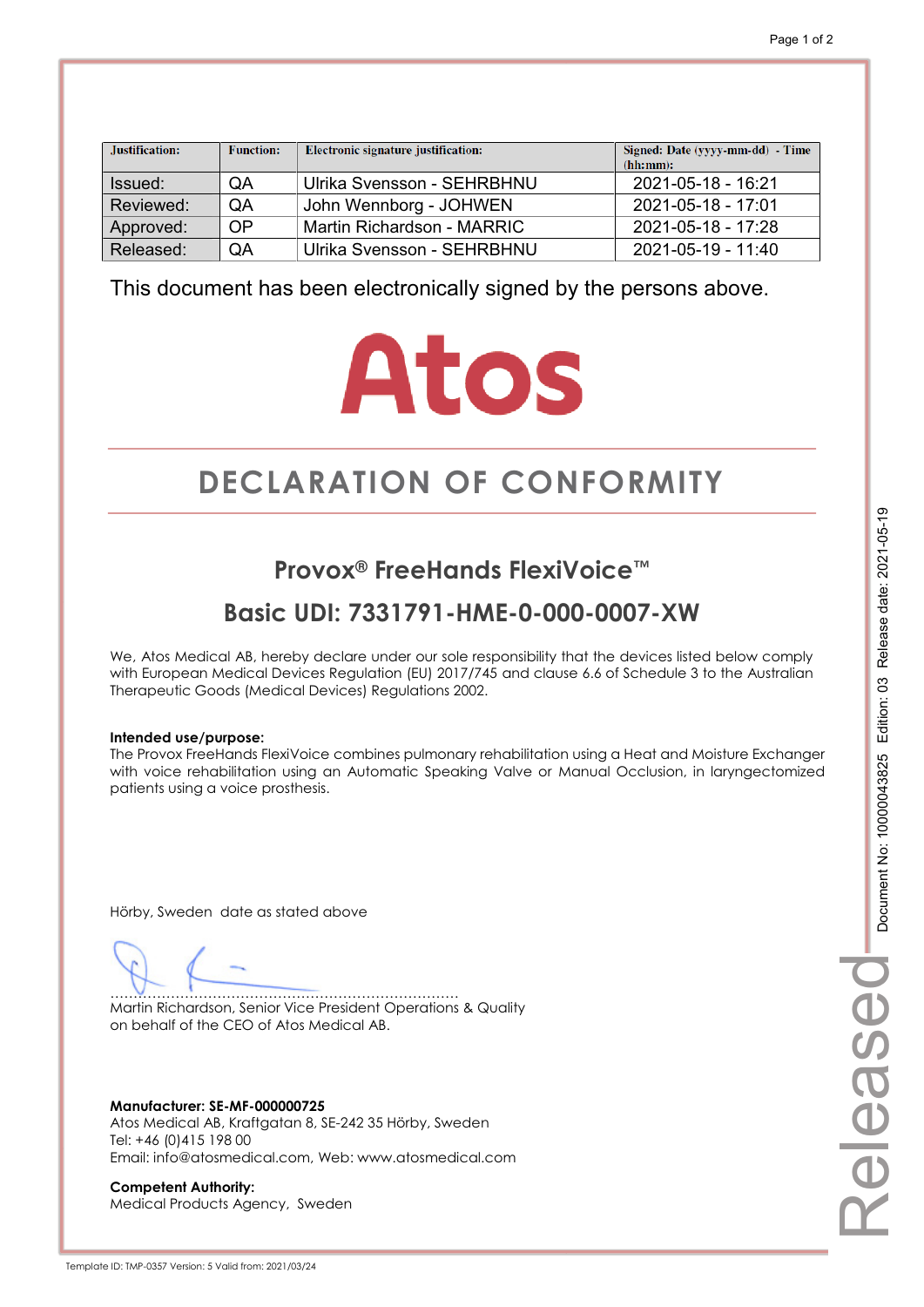| Justification: | <b>Function:</b> | Electronic signature justification: | Signed: Date (yyyy-mm-dd) - Time<br>(hh:mm): |
|----------------|------------------|-------------------------------------|----------------------------------------------|
| Issued:        | QA               | Ulrika Svensson - SEHRBHNU          | 2021-05-18 - 16:21                           |
| Reviewed:      | QA               | John Wennborg - JOHWEN              | 2021-05-18 - 17:01                           |
| Approved:      | <b>OP</b>        | Martin Richardson - MARRIC          | 2021-05-18 - 17:28                           |
| Released:      | QA               | Ulrika Svensson - SEHRBHNU          | 2021-05-19 - 11:40                           |

# **Atos**

# **DECLARATION OF CONFORMITY CONFORMITY**

## **Provox® FreeHands FlexiVoice™**

## **Basic UDI: 7331791-HME-0-000-0007-XW**

We, Atos Medical AB, hereby declare under our sole responsibility that the devices listed below comply with European Medical Devices Regulation (EU) 2017/745 and clause 6.6 of Schedule 3 to the Australian Therapeutic Goods (Medical Devices) Regulations 2002.

#### **Intended use/purpose:**

The Provox FreeHands FlexiVoice combines pulmonary rehabilitation using a Heat and Moisture Exchanger with voice rehabilitation using an Automatic Speaking Valve or Manual Occlusion, in laryngectomized patients using a voice prosthesis.

Hörby, Sweden date as stated above

………………………………………………………………… Martin Richardson, Senior Vice President Operations & Quality on behalf of the CEO of Atos Medical AB.

**Manufacturer: SE-MF-000000725**  Atos Medical AB, Kraftgatan 8, SE-242 35 Hörby, Sweden Tel: +46 (0)415 198 00 Email: info@atosmedical.com, Web: www.atosmedical.com

**Competent Authority:**  Medical Products Agency, Sweden Released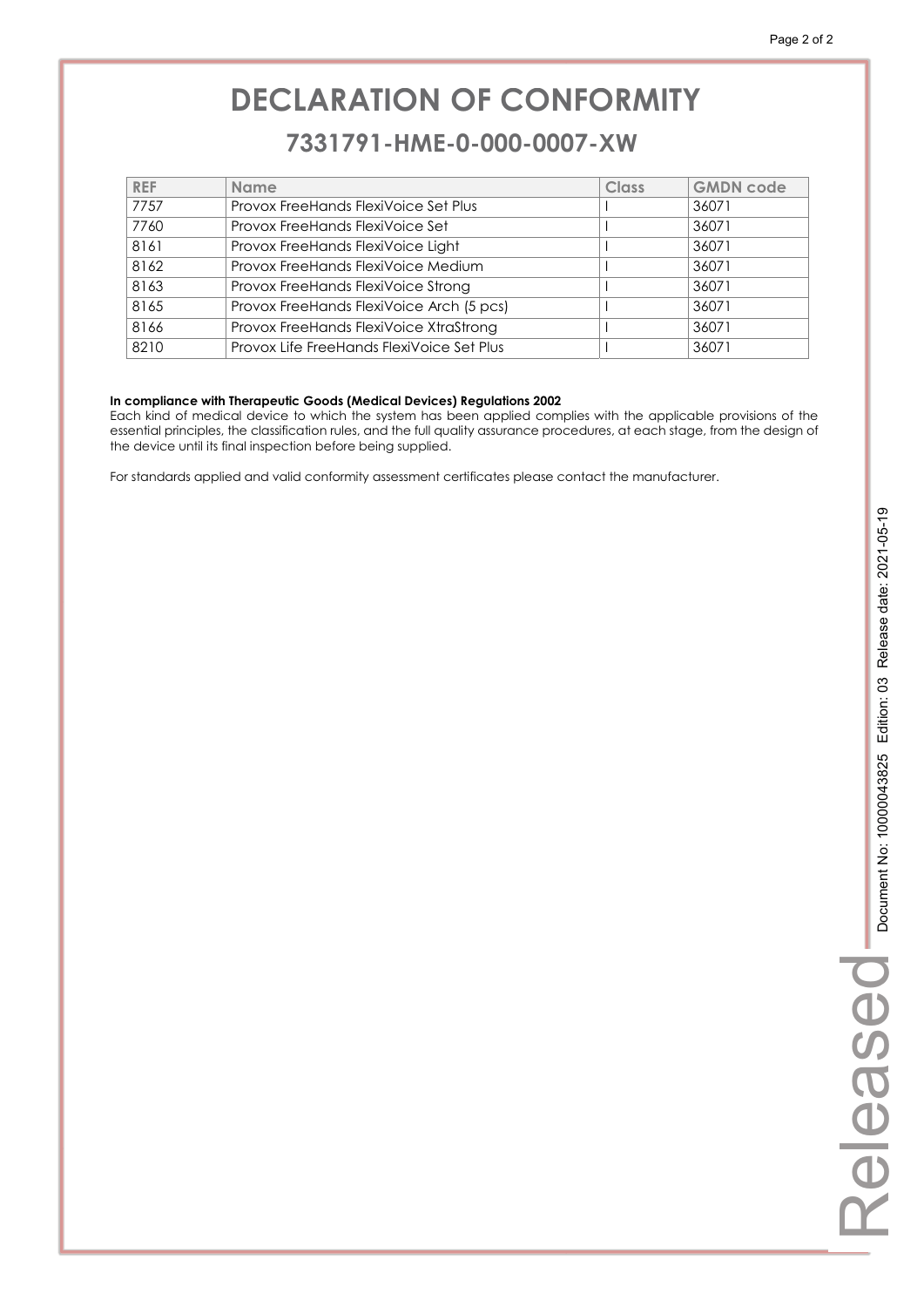### **7331791-HME-0-000-0007-XW 7331791-HME-0-000-0007-XW**

| <b>REF</b> | <b>Name</b>                               | Class | <b>GMDN code</b> |
|------------|-------------------------------------------|-------|------------------|
| 7757       | Provox FreeHands FlexiVoice Set Plus      |       | 36071            |
| 7760       | Provox FreeHands FlexiVoice Set           |       | 36071            |
| 8161       | Provox FreeHands FlexiVoice Light         |       | 36071            |
| 8162       | Provox FreeHands FlexiVoice Medium        |       | 36071            |
| 8163       | Provox FreeHands FlexiVoice Strong        |       | 36071            |
| 8165       | Provox FreeHands FlexiVoice Arch (5 pcs)  |       | 36071            |
| 8166       | Provox FreeHands FlexiVoice XtraStrong    |       | 36071            |
| 8210       | Provox Life FreeHands FlexiVoice Set Plus |       | 36071            |
|            |                                           |       |                  |

#### **In compliance with Therapeutic Goods (Medical Devices) Regulations 2002**

Each kind of medical device to which the system has been applied complies with the applicable provisions of the essential principles, the classification rules, and the full quality assurance procedures, at each stage, from the design of the device until its final inspection before being supplied.

For standards applied and valid conformity assessment certificates please contact the manufacturer.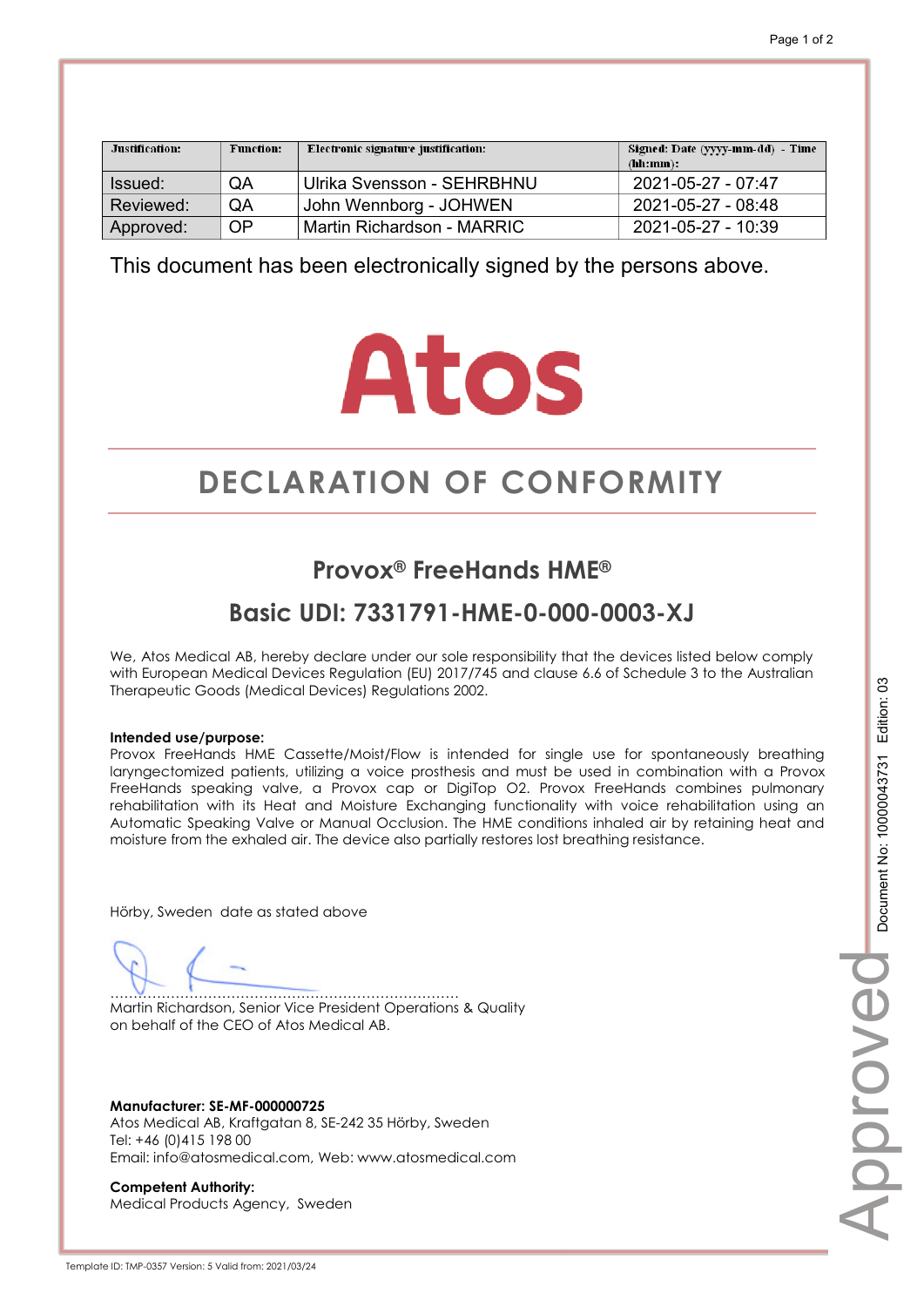| Justification: | <b>Function:</b> | Electronic signature justification: | Signed: Date (yyyy-mm-dd) - Time<br>(hh:mm): |
|----------------|------------------|-------------------------------------|----------------------------------------------|
| ssued:         | QA               | Ulrika Svensson - SEHRBHNU          | 2021-05-27 - 07:47                           |
| Reviewed:      | QA               | John Wennborg - JOHWEN              | 2021-05-27 - 08:48                           |
| Approved:      | <b>OP</b>        | Martin Richardson - MARRIC          | 2021-05-27 - 10:39                           |

# **Atos**

# **DECLARATION OF CONFORMITY CONFORMITY**

## **Provox® FreeHands HME®**

## **Basic UDI: 7331791-HME-0-000-0003-XJ**

We, Atos Medical AB, hereby declare under our sole responsibility that the devices listed below comply with European Medical Devices Regulation (EU) 2017/745 and clause 6.6 of Schedule 3 to the Australian Therapeutic Goods (Medical Devices) Regulations 2002.

#### **Intended use/purpose:**

Provox FreeHands HME Cassette/Moist/Flow is intended for single use for spontaneously breathing laryngectomized patients, utilizing a voice prosthesis and must be used in combination with a Provox FreeHands speaking valve, a Provox cap or DigiTop O2. Provox FreeHands combines pulmonary rehabilitation with its Heat and Moisture Exchanging functionality with voice rehabilitation using an Automatic Speaking Valve or Manual Occlusion. The HME conditions inhaled air by retaining heat and moisture from the exhaled air. The device also partially restores lost breathing resistance.

Hörby, Sweden date as stated above

………………………………………………………………… Martin Richardson, Senior Vice President Operations & Quality on behalf of the CEO of Atos Medical AB.

**Manufacturer: SE-MF-000000725**  Atos Medical AB, Kraftgatan 8, SE-242 35 Hörby, Sweden Tel: +46 (0)415 198 00 Email: info@atosmedical.com, Web: www.atosmedical.com

**Competent Authority:**  Medical Products Agency, Sweden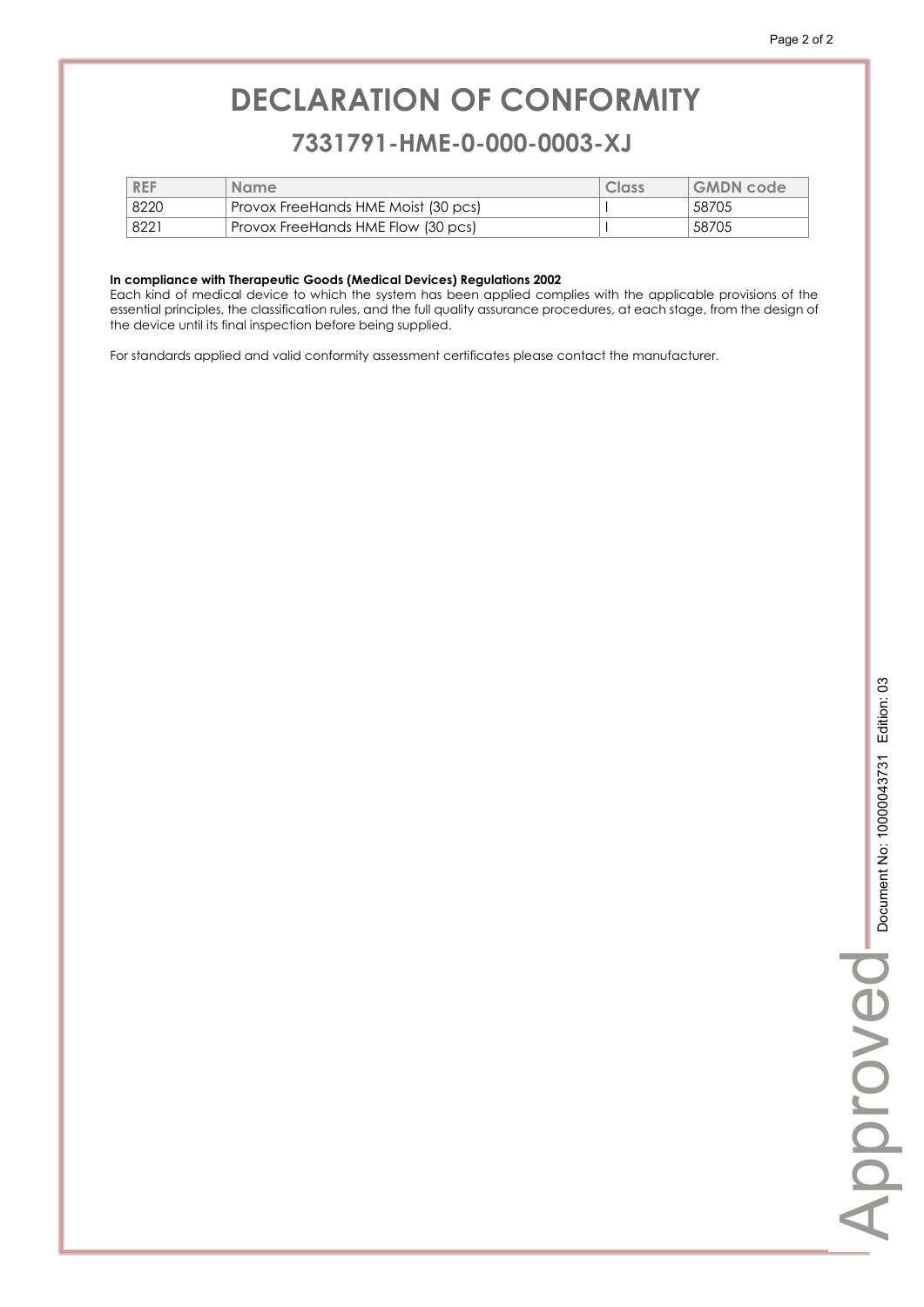### **7331791-HME-0-000-0003-XJ 7331791-HME-0-000-0003-XJ**

| <b>REF</b> | <b>Name</b>                         | Class | <b>GMDN</b> code |
|------------|-------------------------------------|-------|------------------|
| 8220       | Provox FreeHands HME Moist (30 pcs) |       | 58705            |
| 8221       | Provox FreeHands HME Flow (30 pcs)  |       | 58705            |

#### **In compliance with Therapeutic Goods (Medical Devices) Regulations 2002**

Each kind of medical device to which the system has been applied complies with the applicable provisions of the essential principles, the classification rules, and the full quality assurance procedures, at each stage, from the design of the device until its final inspection before being supplied.

For standards applied and valid conformity assessment certificates please contact the manufacturer.

Approve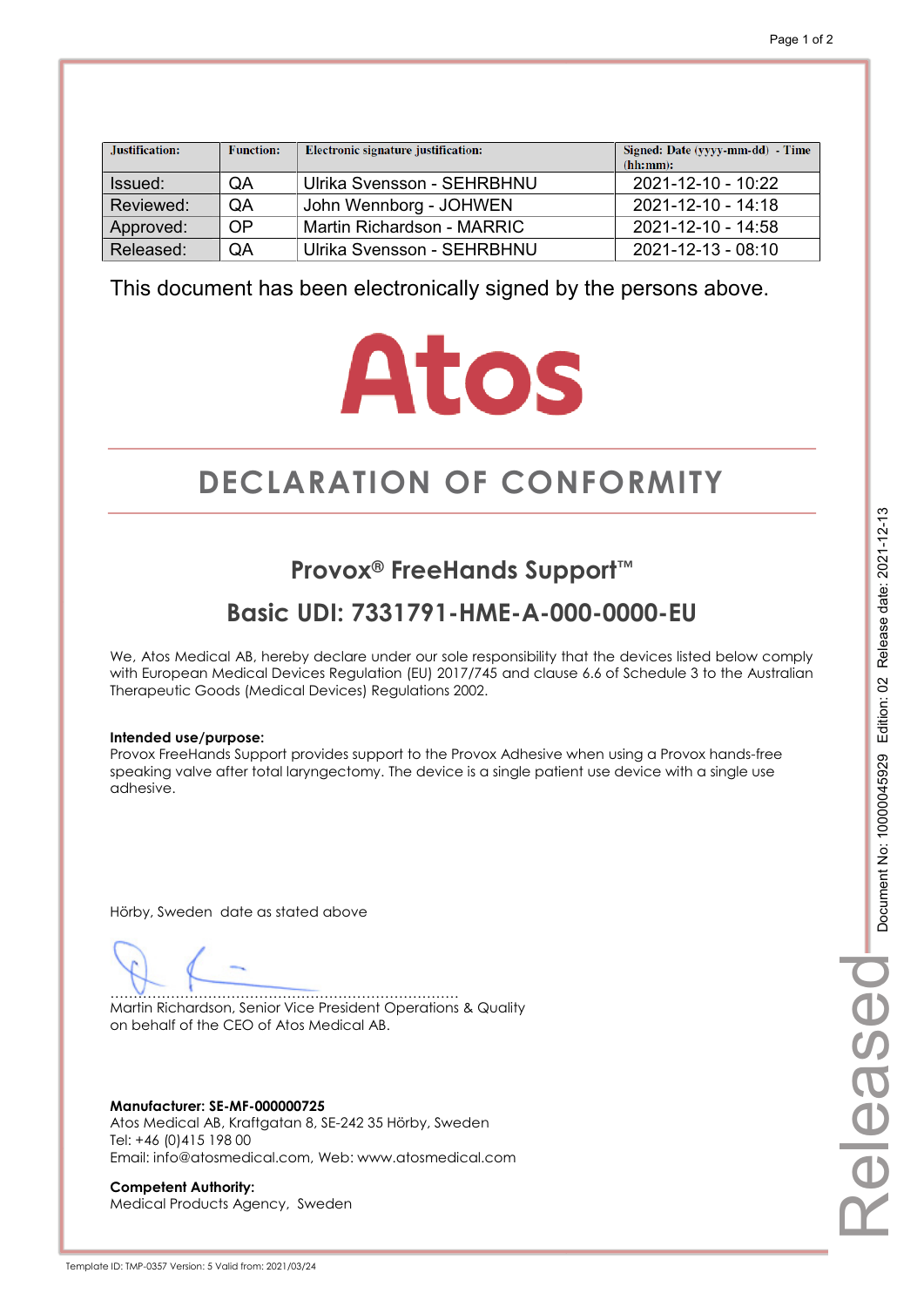| Justification: | <b>Function:</b> | Electronic signature justification: | Signed: Date (yyyy-mm-dd) - Time<br>(hh:mm): |
|----------------|------------------|-------------------------------------|----------------------------------------------|
| Issued:        | QA               | Ulrika Svensson - SEHRBHNU          | 2021-12-10 - 10:22                           |
| Reviewed:      | QA               | John Wennborg - JOHWEN              | 2021-12-10 - 14:18                           |
| Approved:      | OP               | Martin Richardson - MARRIC          | 2021-12-10 - 14:58                           |
| Released:      | QA               | Ulrika Svensson - SEHRBHNU          | 2021-12-13 - 08:10                           |

# **Atos**

# **DECLARATION OF CONFORMITY CONFORMITY**

## **Provox® FreeHands Support™**

## **Basic UDI: 7331791-HME-A-000-0000-EU**

We, Atos Medical AB, hereby declare under our sole responsibility that the devices listed below comply with European Medical Devices Regulation (EU) 2017/745 and clause 6.6 of Schedule 3 to the Australian Therapeutic Goods (Medical Devices) Regulations 2002.

#### **Intended use/purpose:**

Provox FreeHands Support provides support to the Provox Adhesive when using a Provox hands-free speaking valve after total laryngectomy. The device is a single patient use device with a single use adhesive.

Hörby, Sweden date as stated above

………………………………………………………………… Martin Richardson, Senior Vice President Operations & Quality on behalf of the CEO of Atos Medical AB.

**Manufacturer: SE-MF-000000725**  Atos Medical AB, Kraftgatan 8, SE-242 35 Hörby, Sweden Tel: +46 (0)415 198 00 Email: info@atosmedical.com, Web: www.atosmedical.com

**Competent Authority:**  Medical Products Agency, Sweden Released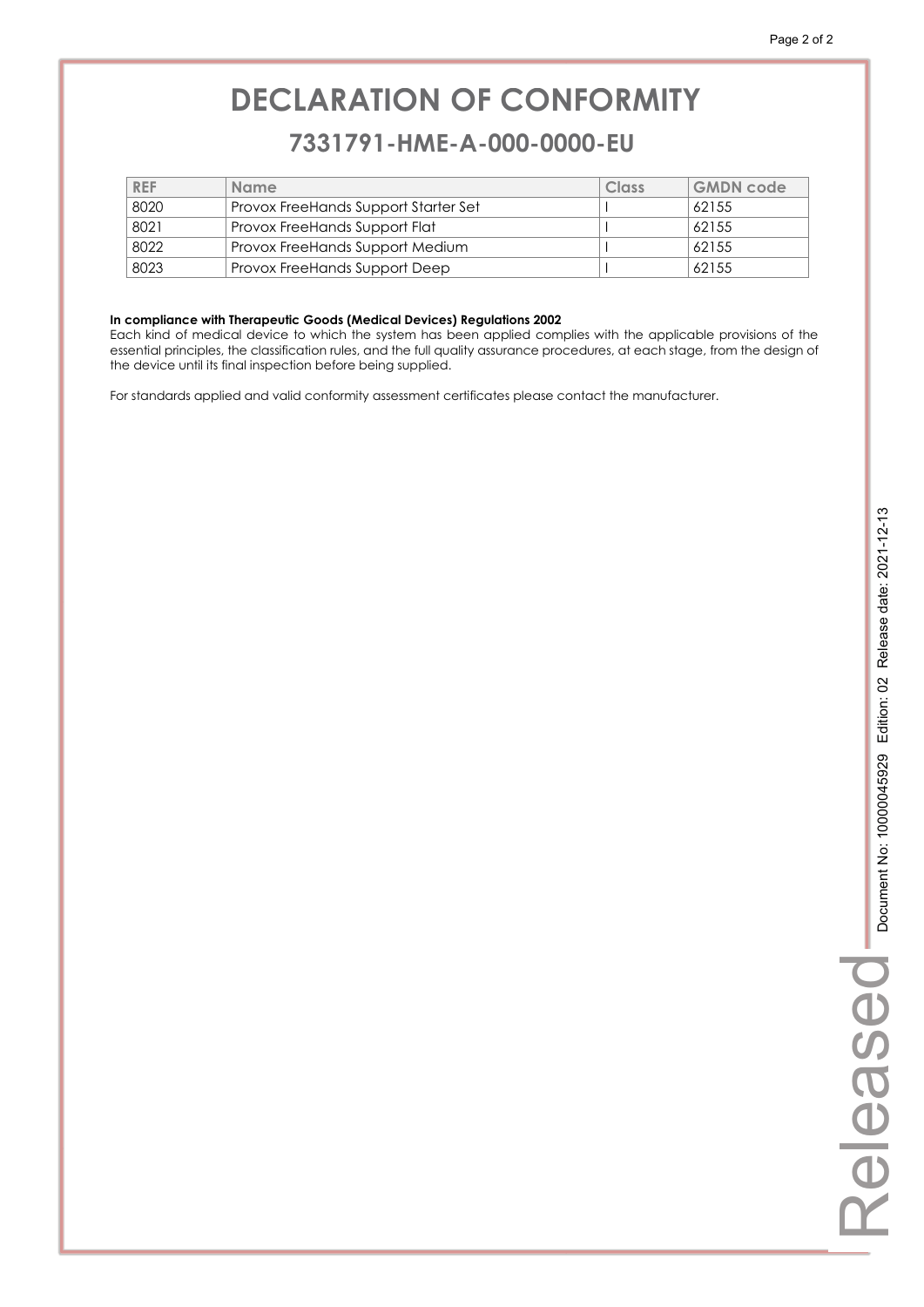### **7331791-HME-A-000-0000-EU 7331791-HME-A-000-0000-EU**

| <b>REF</b> | <b>Name</b>                                 | Class | GMDN code |
|------------|---------------------------------------------|-------|-----------|
| 8020       | <b>Provox FreeHands Support Starter Set</b> |       | 62155     |
| 8021       | <b>Provox FreeHands Support Flat</b>        |       | 62155     |
| 8022       | Provox FreeHands Support Medium             |       | 62155     |
| 8023       | Provox FreeHands Support Deep               |       | 62155     |

#### **In compliance with Therapeutic Goods (Medical Devices) Regulations 2002**

Each kind of medical device to which the system has been applied complies with the applicable provisions of the essential principles, the classification rules, and the full quality assurance procedures, at each stage, from the design of the device until its final inspection before being supplied.

For standards applied and valid conformity assessment certificates please contact the manufacturer.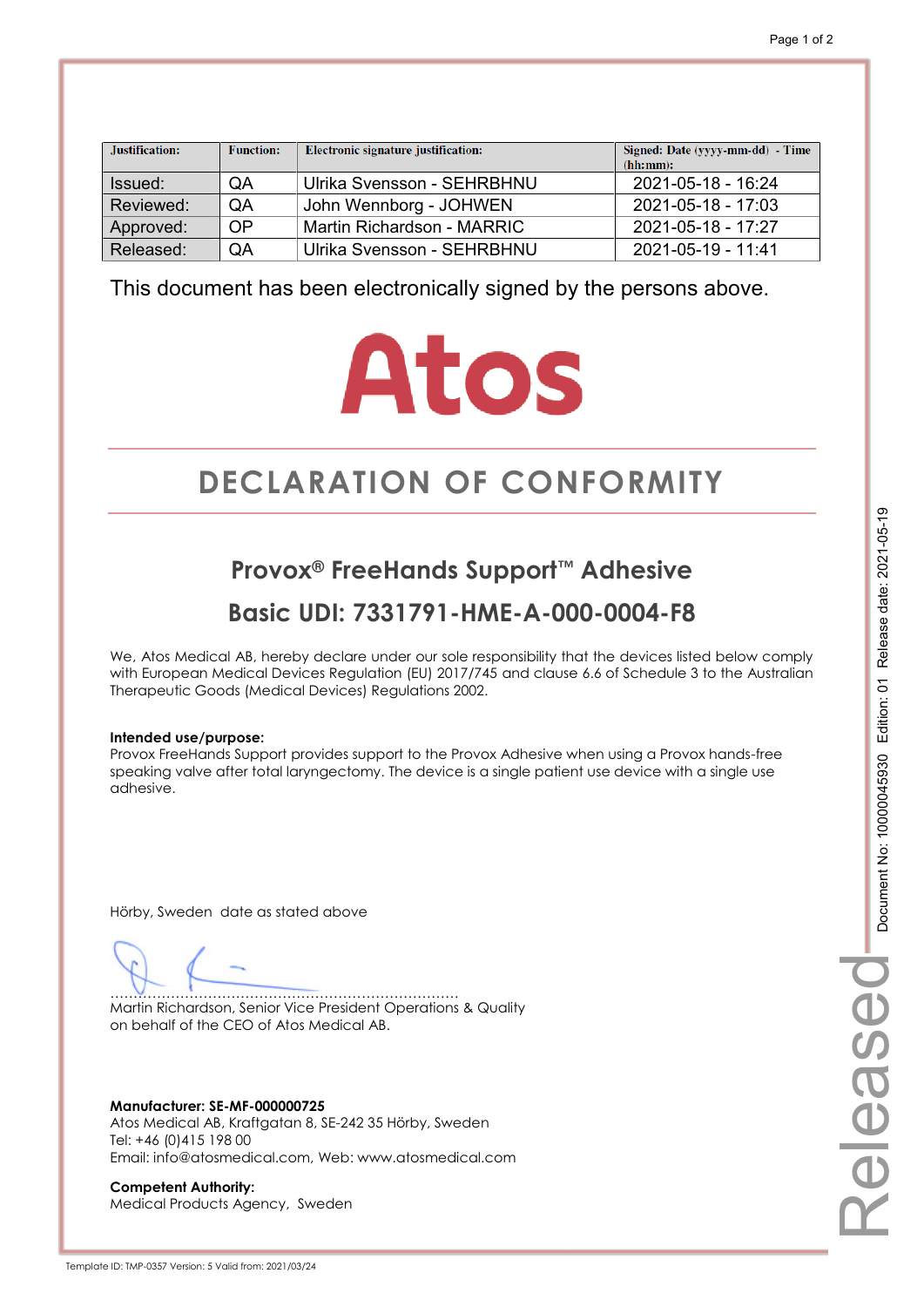| Justification: | <b>Function:</b> | Electronic signature justification: | Signed: Date (yyyy-mm-dd) - Time<br>(hh:mm): |
|----------------|------------------|-------------------------------------|----------------------------------------------|
| Issued:        | QA               | Ulrika Svensson - SEHRBHNU          | 2021-05-18 - 16:24                           |
| Reviewed:      | QA               | John Wennborg - JOHWEN              | 2021-05-18 - 17:03                           |
| Approved:      | <b>OP</b>        | Martin Richardson - MARRIC          | 2021-05-18 - 17:27                           |
| Released:      | QA               | Ulrika Svensson - SEHRBHNU          | 2021-05-19 - 11:41                           |

# **Atos**

# **DECLARATION OF CONFORMITY CONFORMITY**

**Provox® FreeHands Support™ Adhesive Basic UDI: 7331791-HME-A-000-0004-F8** 

We, Atos Medical AB, hereby declare under our sole responsibility that the devices listed below comply with European Medical Devices Regulation (EU) 2017/745 and clause 6.6 of Schedule 3 to the Australian Therapeutic Goods (Medical Devices) Regulations 2002.

#### **Intended use/purpose:**

Provox FreeHands Support provides support to the Provox Adhesive when using a Provox hands-free speaking valve after total laryngectomy. The device is a single patient use device with a single use adhesive.

Hörby, Sweden date as stated above

………………………………………………………………… Martin Richardson, Senior Vice President Operations & Quality on behalf of the CEO of Atos Medical AB.

**Manufacturer: SE-MF-000000725**  Atos Medical AB, Kraftgatan 8, SE-242 35 Hörby, Sweden Tel: +46 (0)415 198 00 Email: info@atosmedical.com, Web: www.atosmedical.com

**Competent Authority:**  Medical Products Agency, Sweden Released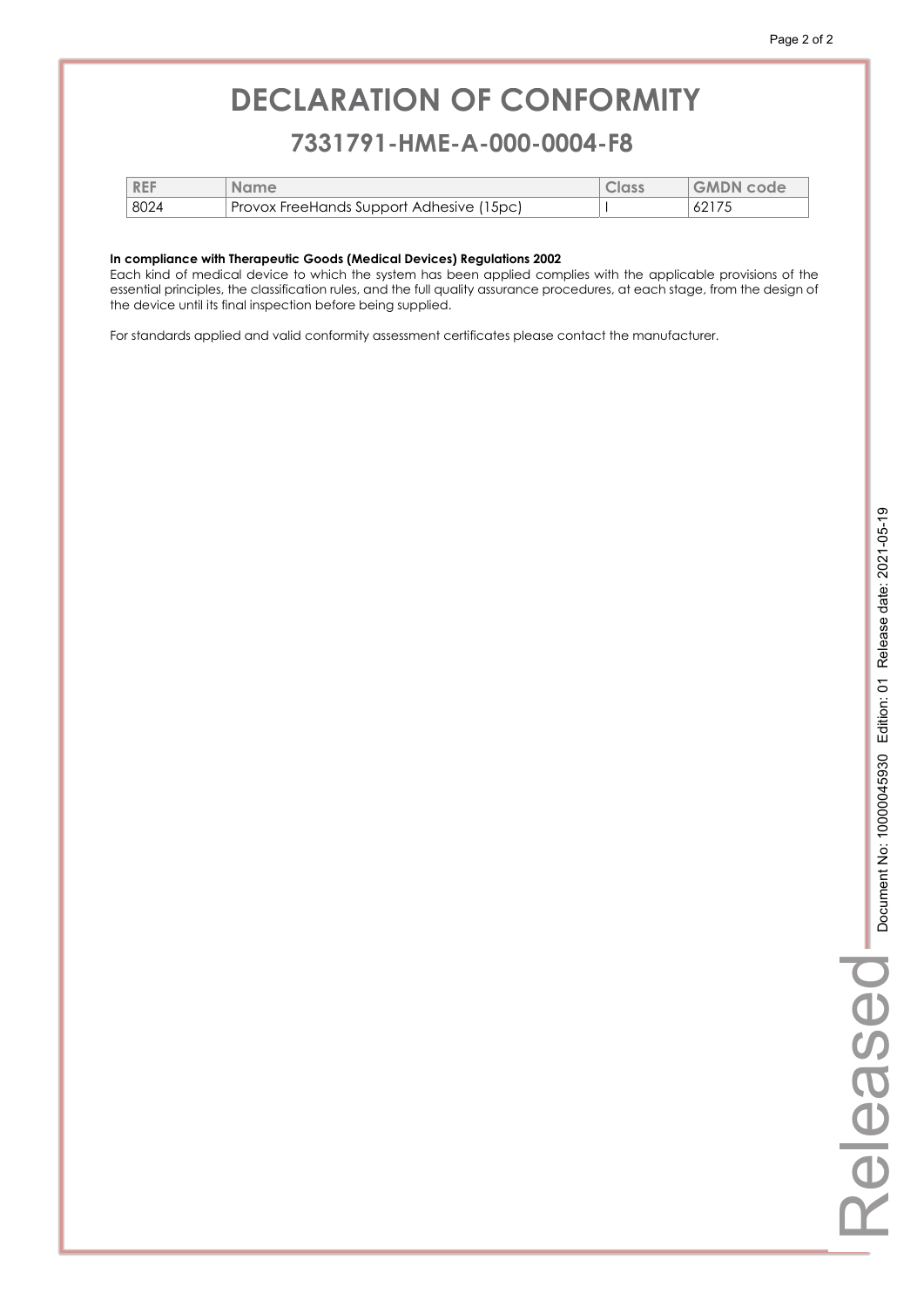### **7331791-HME-A-000-0004-F8 7331791-HME-A-000-0004-F8**

| <b>REF</b> | <b>Name</b>                              | Class | <b>GMDN</b> code |
|------------|------------------------------------------|-------|------------------|
| 8024       | Provox FreeHands Support Adhesive (15pc) |       | 62175            |

#### **In compliance with Therapeutic Goods (Medical Devices) Regulations 2002**

Each kind of medical device to which the system has been applied complies with the applicable provisions of the essential principles, the classification rules, and the full quality assurance procedures, at each stage, from the design of the device until its final inspection before being supplied.

For standards applied and valid conformity assessment certificates please contact the manufacturer.

Released

Released

L.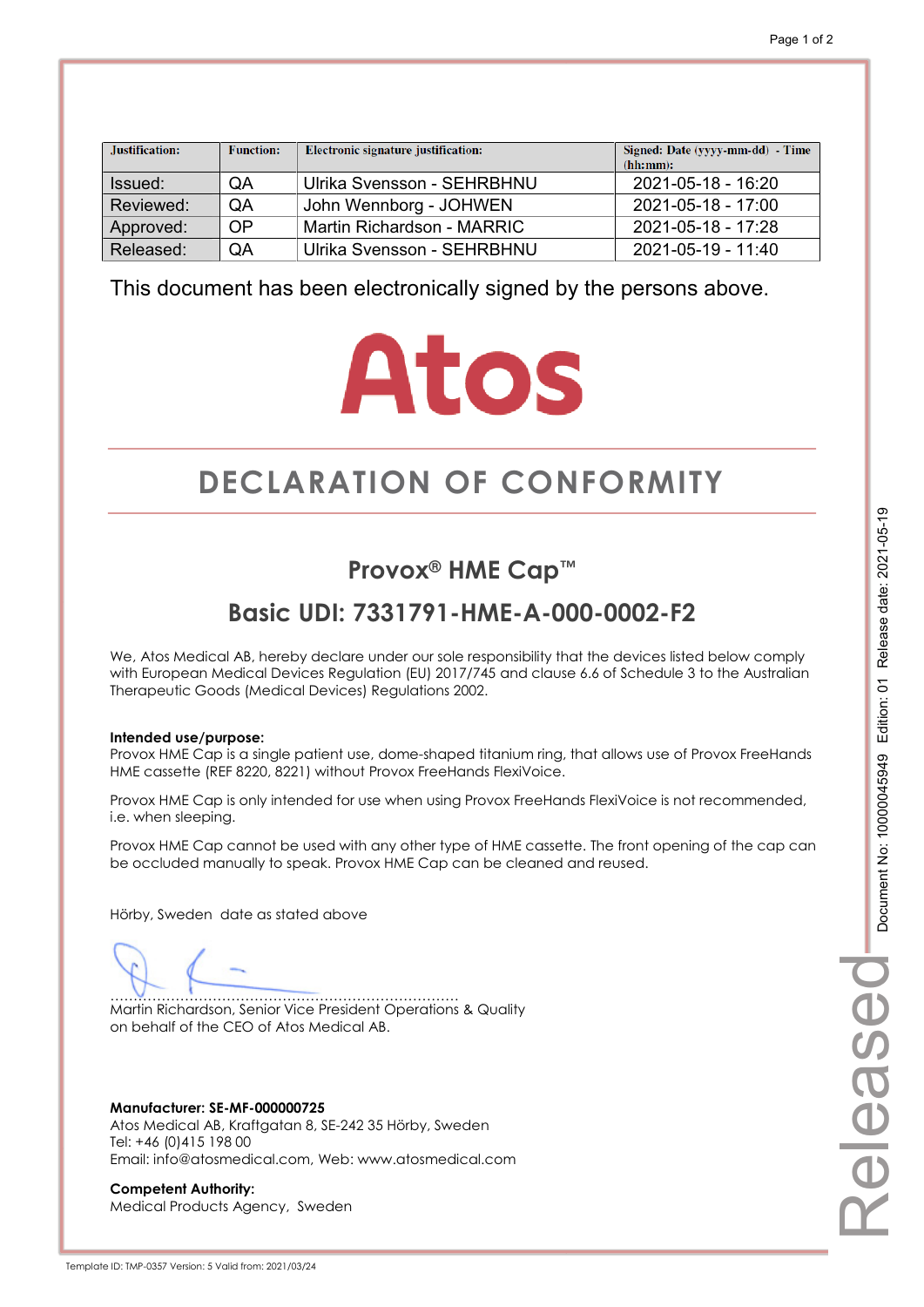| Justification: | <b>Function:</b> | Electronic signature justification: | Signed: Date (yyyy-mm-dd) - Time<br>(hh:mm): |
|----------------|------------------|-------------------------------------|----------------------------------------------|
| Issued:        | QA               | Ulrika Svensson - SEHRBHNU          | 2021-05-18 - 16:20                           |
| Reviewed:      | <b>OA</b>        | John Wennborg - JOHWEN              | 2021-05-18 - 17:00                           |
| Approved:      | OP               | Martin Richardson - MARRIC          | 2021-05-18 - 17:28                           |
| Released:      | QA               | Ulrika Svensson - SEHRBHNU          | 2021-05-19 - 11:40                           |

# **Atos**

# **DECLARATION OF CONFORMITY CONFORMITY**

## **Provox® HME Cap™**

## **Basic UDI: 7331791-HME-A-000-0002-F2**

We, Atos Medical AB, hereby declare under our sole responsibility that the devices listed below comply with European Medical Devices Regulation (EU) 2017/745 and clause 6.6 of Schedule 3 to the Australian Therapeutic Goods (Medical Devices) Regulations 2002.

#### **Intended use/purpose:**

Provox HME Cap is a single patient use, dome-shaped titanium ring, that allows use of Provox FreeHands HME cassette (REF 8220, 8221) without Provox FreeHands FlexiVoice.

Provox HME Cap is only intended for use when using Provox FreeHands FlexiVoice is not recommended, i.e. when sleeping.

Provox HME Cap cannot be used with any other type of HME cassette. The front opening of the cap can be occluded manually to speak. Provox HME Cap can be cleaned and reused.

Hörby, Sweden date as stated above

………………………………………………………………… Martin Richardson, Senior Vice President Operations & Quality on behalf of the CEO of Atos Medical AB.

**Manufacturer: SE-MF-000000725**  Atos Medical AB, Kraftgatan 8, SE-242 35 Hörby, Sweden Tel: +46 (0)415 198 00 Email: info@atosmedical.com, Web: www.atosmedical.com

**Competent Authority:**  Medical Products Agency, Sweden

Template ID: TMP-0357 Version: 5 Valid from: 2021/03/24

Released